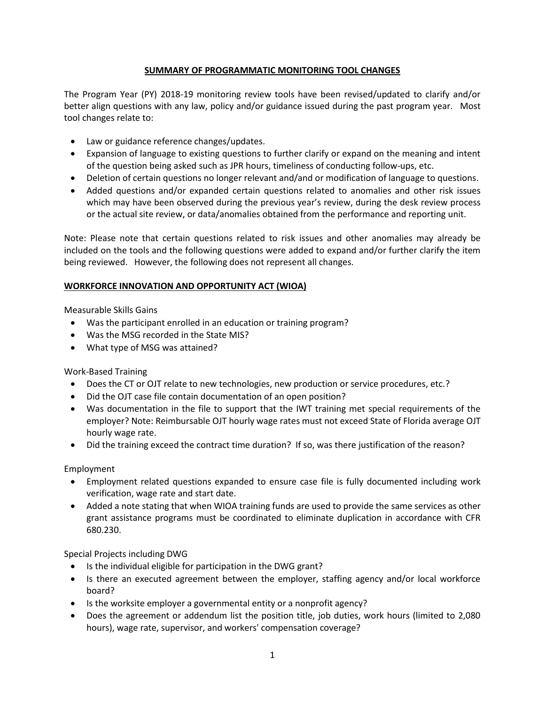# **SUMMARY OF PROGRAMMATIC MONITORING TOOL CHANGES**

The Program Year (PY) 2018-19 monitoring review tools have been revised/updated to clarify and/or better align questions with any law, policy and/or guidance issued during the past program year. Most tool changes relate to:

- Law or guidance reference changes/updates.
- Expansion of language to existing questions to further clarify or expand on the meaning and intent of the question being asked such as JPR hours, timeliness of conducting follow-ups, etc.
- Deletion of certain questions no longer relevant and/and or modification of language to questions.
- Added questions and/or expanded certain questions related to anomalies and other risk issues which may have been observed during the previous year's review, during the desk review process or the actual site review, or data/anomalies obtained from the performance and reporting unit.

Note: Please note that certain questions related to risk issues and other anomalies may already be included on the tools and the following questions were added to expand and/or further clarify the item being reviewed. However, the following does not represent all changes.

## **WORKFORCE INNOVATION AND OPPORTUNITY ACT (WIOA)**

Measurable Skills Gains

- Was the participant enrolled in an education or training program?
- Was the MSG recorded in the State MIS?
- What type of MSG was attained?

Work-Based Training

- Does the CT or OJT relate to new technologies, new production or service procedures, etc.?
- Did the OJT case file contain documentation of an open position?
- Was documentation in the file to support that the IWT training met special requirements of the employer? Note: Reimbursable OJT hourly wage rates must not exceed State of Florida average OJT hourly wage rate.
- Did the training exceed the contract time duration? If so, was there justification of the reason?

Employment

- Employment related questions expanded to ensure case file is fully documented including work verification, wage rate and start date.
- Added a note stating that when WIOA training funds are used to provide the same services as other grant assistance programs must be coordinated to eliminate duplication in accordance with CFR 680.230.

Special Projects including DWG

- Is the individual eligible for participation in the DWG grant?
- Is there an executed agreement between the employer, staffing agency and/or local workforce board?
- Is the worksite employer a governmental entity or a nonprofit agency?
- Does the agreement or addendum list the position title, job duties, work hours (limited to 2,080 hours), wage rate, supervisor, and workers' compensation coverage?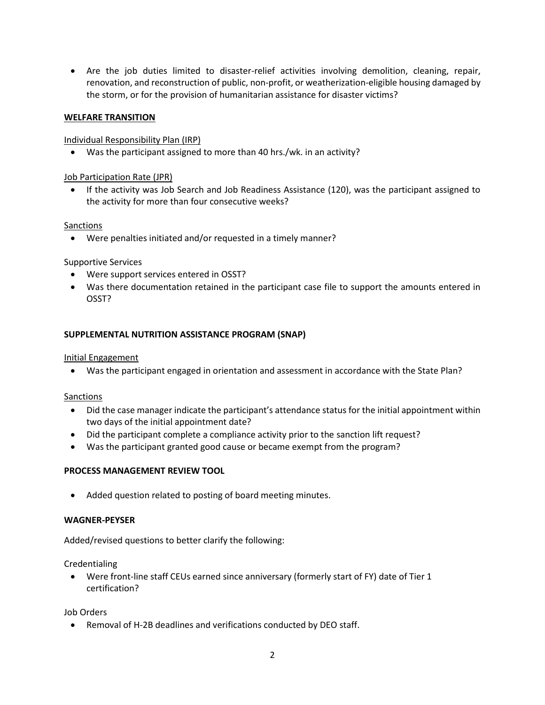• Are the job duties limited to disaster-relief activities involving demolition, cleaning, repair, renovation, and reconstruction of public, non-profit, or weatherization-eligible housing damaged by the storm, or for the provision of humanitarian assistance for disaster victims?

#### **WELFARE TRANSITION**

#### Individual Responsibility Plan (IRP)

• Was the participant assigned to more than 40 hrs./wk. in an activity?

### Job Participation Rate (JPR)

• If the activity was Job Search and Job Readiness Assistance (120), was the participant assigned to the activity for more than four consecutive weeks?

#### Sanctions

• Were penalties initiated and/or requested in a timely manner?

## Supportive Services

- Were support services entered in OSST?
- Was there documentation retained in the participant case file to support the amounts entered in OSST?

## **SUPPLEMENTAL NUTRITION ASSISTANCE PROGRAM (SNAP)**

#### Initial Engagement

• Was the participant engaged in orientation and assessment in accordance with the State Plan?

#### Sanctions

- Did the case manager indicate the participant's attendance status for the initial appointment within two days of the initial appointment date?
- Did the participant complete a compliance activity prior to the sanction lift request?
- Was the participant granted good cause or became exempt from the program?

## **PROCESS MANAGEMENT REVIEW TOOL**

Added question related to posting of board meeting minutes.

#### **WAGNER-PEYSER**

Added/revised questions to better clarify the following:

Credentialing

• Were front-line staff CEUs earned since anniversary (formerly start of FY) date of Tier 1 certification?

Job Orders

• Removal of H-2B deadlines and verifications conducted by DEO staff.